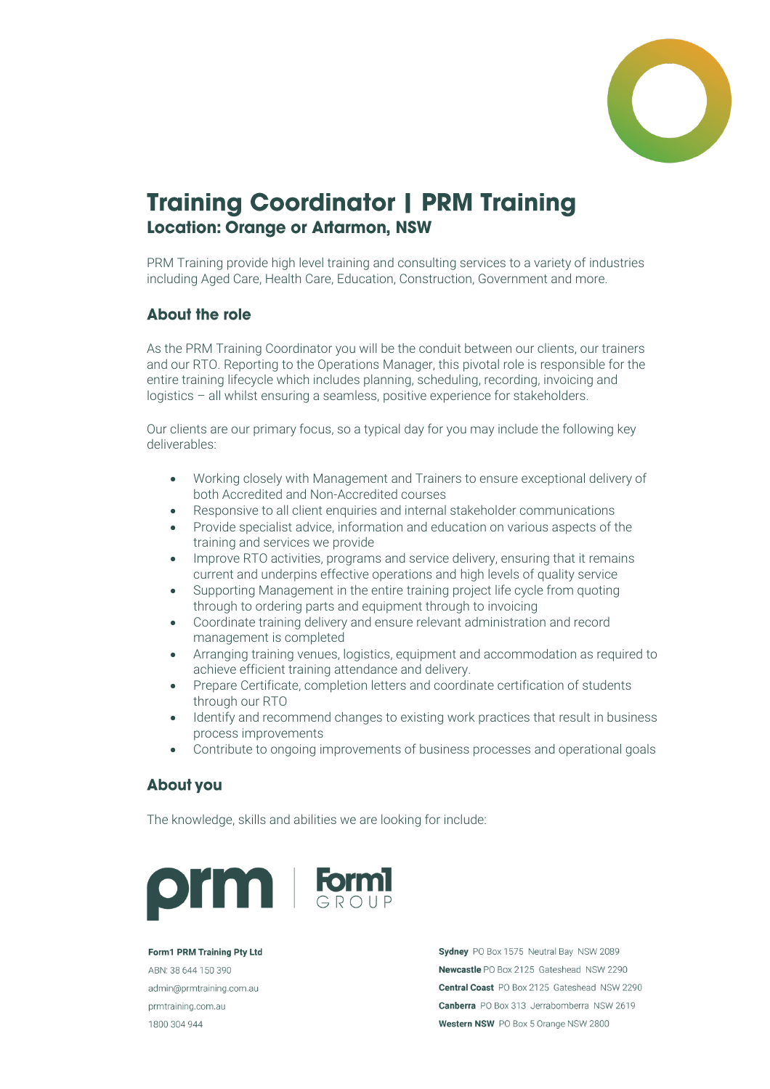

## **Training Coordinator | PRM Training Location: Orange or Artarmon, NSW**

PRM Training provide high level training and consulting services to a variety of industries including Aged Care, Health Care, Education, Construction, Government and more.

## **About the role**

As the PRM Training Coordinator you will be the conduit between our clients, our trainers and our RTO. Reporting to the Operations Manager, this pivotal role is responsible for the entire training lifecycle which includes planning, scheduling, recording, invoicing and logistics – all whilst ensuring a seamless, positive experience for stakeholders.

Our clients are our primary focus, so a typical day for you may include the following key deliverables:

- Working closely with Management and Trainers to ensure exceptional delivery of both Accredited and Non-Accredited courses
- Responsive to all client enquiries and internal stakeholder communications
- Provide specialist advice, information and education on various aspects of the training and services we provide
- Improve RTO activities, programs and service delivery, ensuring that it remains current and underpins effective operations and high levels of quality service
- Supporting Management in the entire training project life cycle from quoting through to ordering parts and equipment through to invoicing
- Coordinate training delivery and ensure relevant administration and record management is completed
- Arranging training venues, logistics, equipment and accommodation as required to achieve efficient training attendance and delivery.
- Prepare Certificate, completion letters and coordinate certification of students through our RTO
- Identify and recommend changes to existing work practices that result in business process improvements
- Contribute to ongoing improvements of business processes and operational goals

## **About you**

The knowledge, skills and abilities we are looking for include:



Form1 PRM Training Pty Ltd ABN: 38 644 150 390 admin@prmtraining.com.au prmtraining.com.au 1800 304 944

Sydney PO Box 1575 Neutral Bay NSW 2089 Newcastle PO Box 2125 Gateshead NSW 2290 Central Coast PO Box 2125 Gateshead NSW 2290 Canberra PO Box 313 Jerrabomberra NSW 2619 Western NSW PO Box 5 Orange NSW 2800